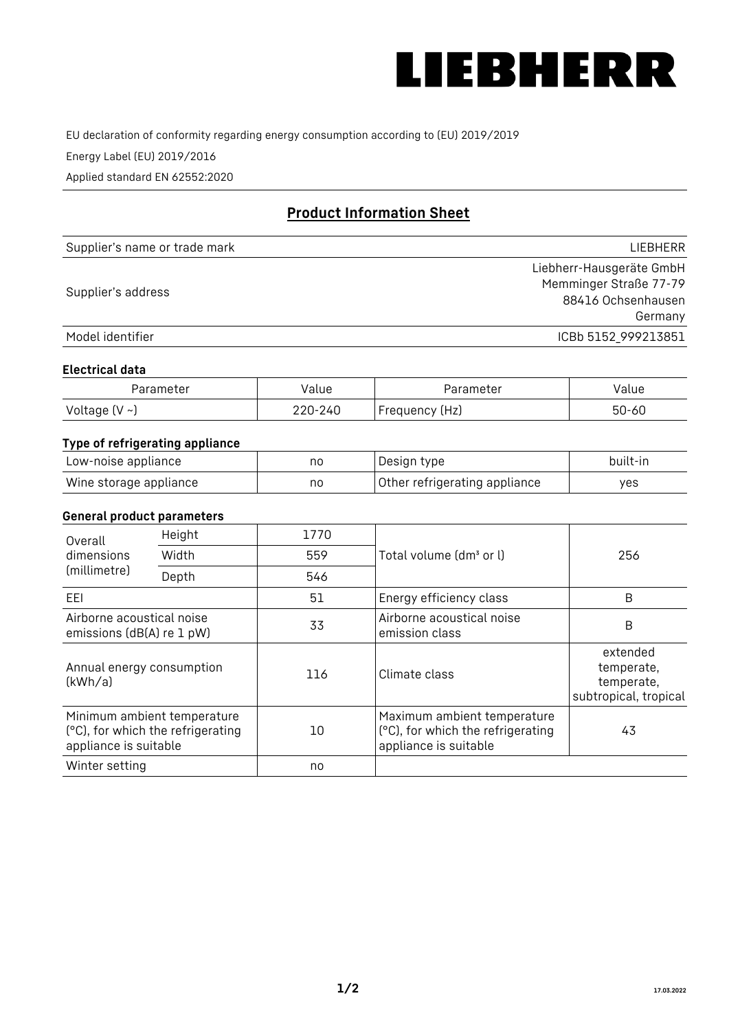

EU declaration of conformity regarding energy consumption according to (EU) 2019/2019

Energy Label (EU) 2019/2016

Applied standard EN 62552:2020

# **Product Information Sheet**

| Supplier's name or trade mark | LIEBHERR                 |
|-------------------------------|--------------------------|
|                               | Liebherr-Hausgeräte GmbH |
|                               | Memminger Straße 77-79   |
| Supplier's address            | 88416 Ochsenhausen       |
|                               | Germany                  |
| Model identifier              | ICBb 5152 999213851      |

#### **Electrical data**

| Parameter     | Value         | Parameter      | alue ' |
|---------------|---------------|----------------|--------|
| Voltage (V ~) | 220-:<br>-24C | Frequency (Hz) | 50-60  |

## **Type of refrigerating appliance**

| Low-noise appliance    | no | Design type                   | built-in |
|------------------------|----|-------------------------------|----------|
| Wine storage appliance | no | Other refrigerating appliance | yes      |

### **General product parameters**

| Height<br>Overall<br>dimensions<br>Width<br>(millimetre)<br>Depth |                                                                  | 1770 |                                                                                           | 256                                                           |
|-------------------------------------------------------------------|------------------------------------------------------------------|------|-------------------------------------------------------------------------------------------|---------------------------------------------------------------|
|                                                                   |                                                                  | 559  | Total volume (dm <sup>3</sup> or l)                                                       |                                                               |
|                                                                   |                                                                  | 546  |                                                                                           |                                                               |
| EEL                                                               |                                                                  | 51   | Energy efficiency class                                                                   | B                                                             |
| Airborne acoustical noise<br>emissions (dB(A) re 1 pW)            |                                                                  | 33   | Airborne acoustical noise<br>emission class                                               | B                                                             |
| Annual energy consumption<br>(kWh/a)                              |                                                                  | 116  | Climate class                                                                             | extended<br>temperate,<br>temperate,<br>subtropical, tropical |
| appliance is suitable                                             | Minimum ambient temperature<br>(°C), for which the refrigerating | 10   | Maximum ambient temperature<br>(°C), for which the refrigerating<br>appliance is suitable | 43                                                            |
| Winter setting                                                    |                                                                  | no   |                                                                                           |                                                               |